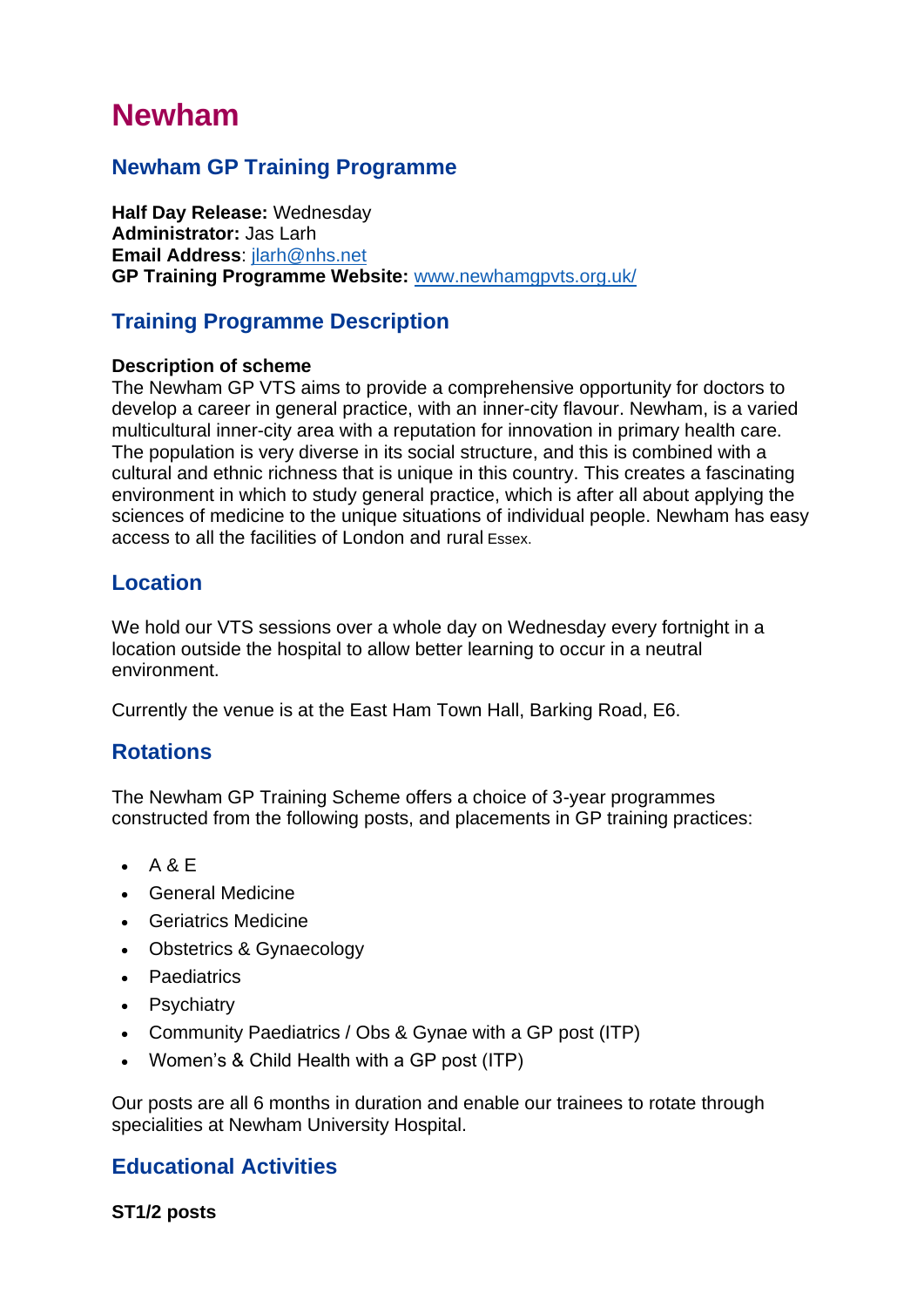# **Newham**

# **Newham GP Training Programme**

**Half Day Release:** Wednesday **Administrator:** Jas Larh **Email Address**: [jlarh@nhs.net](mailto:jlarh@nhs.net) **GP Training Programme Website:** [www.newhamgpvts.org.uk/](http://www.newhamgpvts.org.uk/)

## **Training Programme Description**

#### **Description of scheme**

The Newham GP VTS aims to provide a comprehensive opportunity for doctors to develop a career in general practice, with an inner-city flavour. Newham, is a varied multicultural inner-city area with a reputation for innovation in primary health care. The population is very diverse in its social structure, and this is combined with a cultural and ethnic richness that is unique in this country. This creates a fascinating environment in which to study general practice, which is after all about applying the sciences of medicine to the unique situations of individual people. Newham has easy access to all the facilities of London and rural Essex.

## **Location**

We hold our VTS sessions over a whole day on Wednesday every fortnight in a location outside the hospital to allow better learning to occur in a neutral environment.

Currently the venue is at the East Ham Town Hall, Barking Road, E6.

## **Rotations**

The Newham GP Training Scheme offers a choice of 3-year programmes constructed from the following posts, and placements in GP training practices:

- A & E
- General Medicine
- Geriatrics Medicine
- Obstetrics & Gynaecology
- **Paediatrics**
- **Psychiatry**
- Community Paediatrics / Obs & Gynae with a GP post (ITP)
- Women's & Child Health with a GP post (ITP)

Our posts are all 6 months in duration and enable our trainees to rotate through specialities at Newham University Hospital.

## **Educational Activities**

**ST1/2 posts**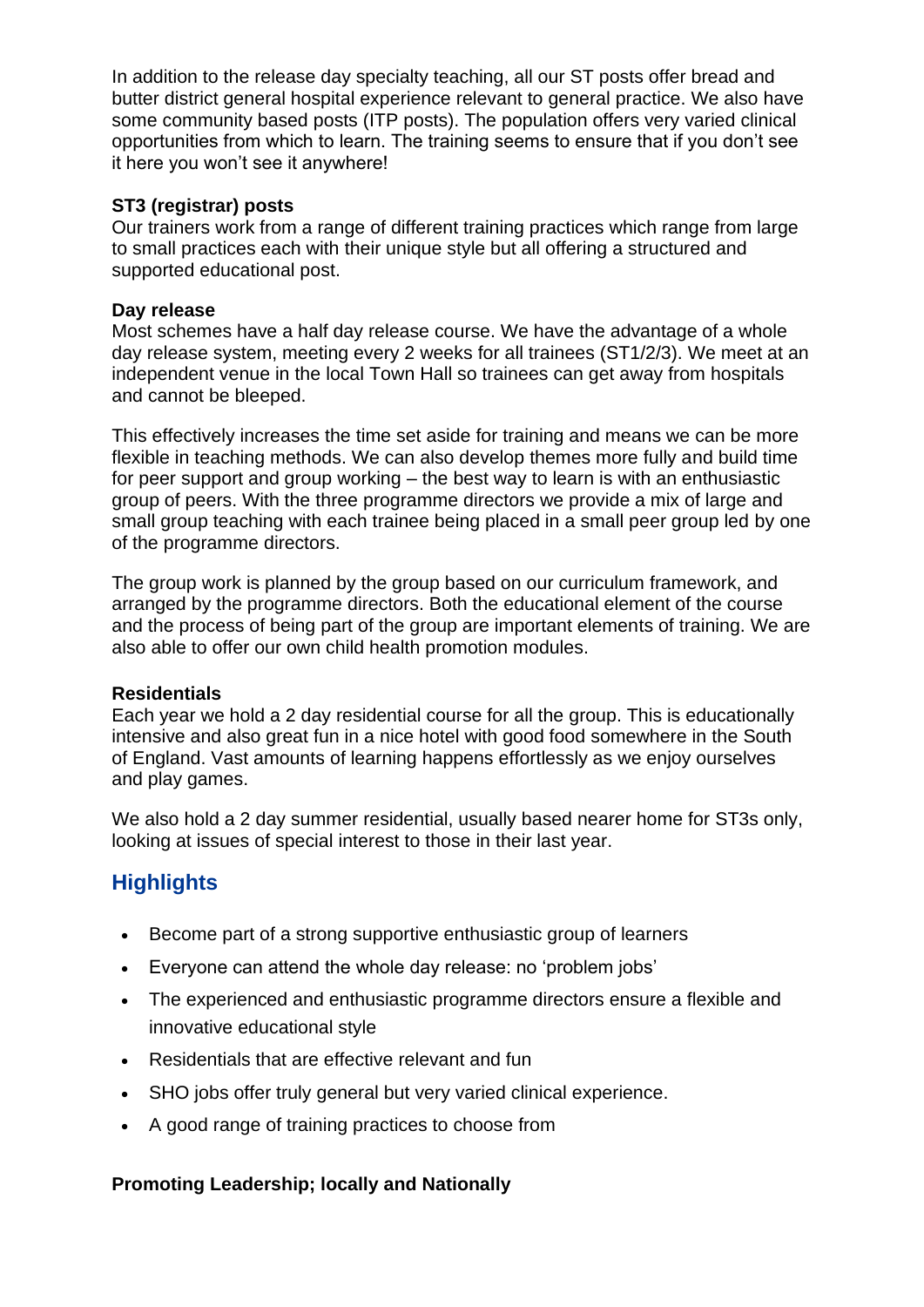In addition to the release day specialty teaching, all our ST posts offer bread and butter district general hospital experience relevant to general practice. We also have some community based posts (ITP posts). The population offers very varied clinical opportunities from which to learn. The training seems to ensure that if you don't see it here you won't see it anywhere!

#### **ST3 (registrar) posts**

Our trainers work from a range of different training practices which range from large to small practices each with their unique style but all offering a structured and supported educational post.

#### **Day release**

Most schemes have a half day release course. We have the advantage of a whole day release system, meeting every 2 weeks for all trainees (ST1/2/3). We meet at an independent venue in the local Town Hall so trainees can get away from hospitals and cannot be bleeped.

This effectively increases the time set aside for training and means we can be more flexible in teaching methods. We can also develop themes more fully and build time for peer support and group working – the best way to learn is with an enthusiastic group of peers. With the three programme directors we provide a mix of large and small group teaching with each trainee being placed in a small peer group led by one of the programme directors.

The group work is planned by the group based on our curriculum framework, and arranged by the programme directors. Both the educational element of the course and the process of being part of the group are important elements of training. We are also able to offer our own child health promotion modules.

#### **Residentials**

Each year we hold a 2 day residential course for all the group. This is educationally intensive and also great fun in a nice hotel with good food somewhere in the South of England. Vast amounts of learning happens effortlessly as we enjoy ourselves and play games.

We also hold a 2 day summer residential, usually based nearer home for ST3s only, looking at issues of special interest to those in their last year.

## **Highlights**

- Become part of a strong supportive enthusiastic group of learners
- Everyone can attend the whole day release: no 'problem jobs'
- The experienced and enthusiastic programme directors ensure a flexible and innovative educational style
- Residentials that are effective relevant and fun
- SHO jobs offer truly general but very varied clinical experience.
- A good range of training practices to choose from

## **Promoting Leadership; locally and Nationally**